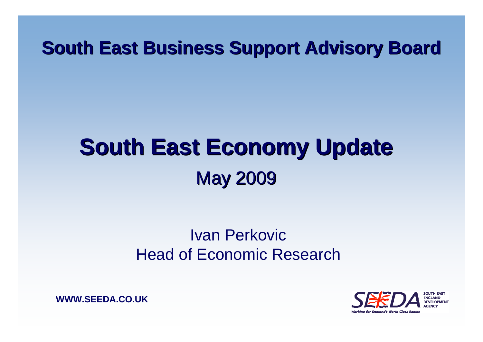#### **South East Business Support Advisory Board South East Business Support Advisory Board**

# **South East Economy Update South East Economy Update May 2009**

#### Ivan PerkovicHead of Economic Research

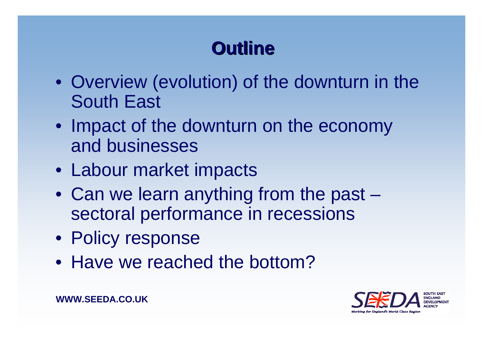# **Outline Outline**

- Overview (evolution) of the downturn in the South East
- Impact of the downturn on the economy and businesses
- Labour market impacts
- Can we learn anything from the past sectoral performance in recessions
- Policy response
- Have we reached the bottom?

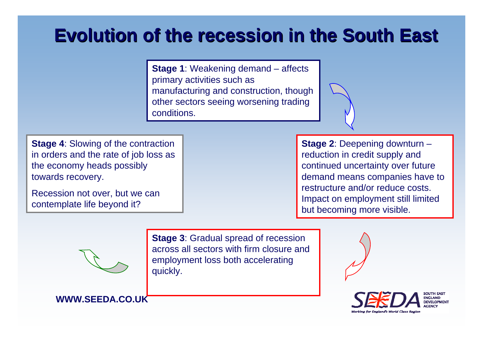#### **Evolution of the recession in the South East Evolution of the recession in the South East**

**Stage 1**: Weakening demand – affects primary activities such as manufacturing and construction, though other sectors seeing worsening trading conditions.

**Stage 4: Slowing of the contraction** in orders and the rate of job loss as the economy heads possibly towards recovery.

Recession not over, but we can contemplate life beyond it?

**Stage 2**: Deepening downturn – reduction in credit supply and continued uncertainty over future demand means companies have to restructure and/or reduce costs. Impact on employment still limited but becoming more visible.



**WWW.SEEDA.CO.UK**

**Stage 3**: Gradual spread of recession across all sectors with firm closure and employment loss both accelerating quickly.



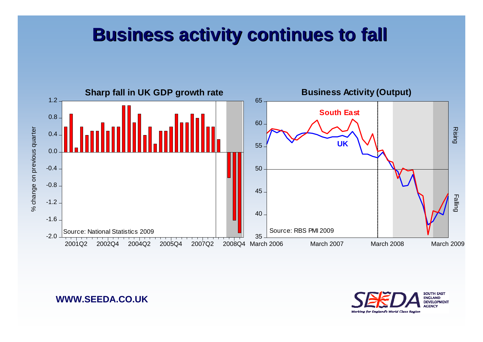#### **Business activity continues to fall Business activity continues to fall**



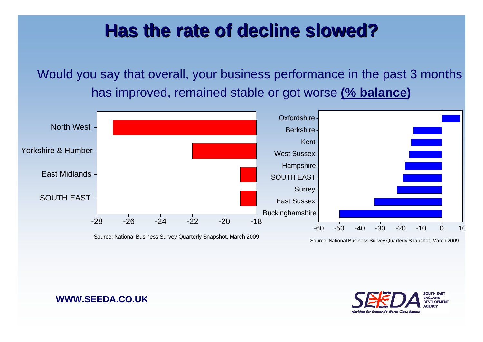### **Has the rate of decline slowed? Has the rate of decline slowed?**

Would you say that overall, your business performance in the past 3 months has improved, remained stable or got worse **(% balance)**



Source: National Business Survey Quarterly Snapshot, March 2009

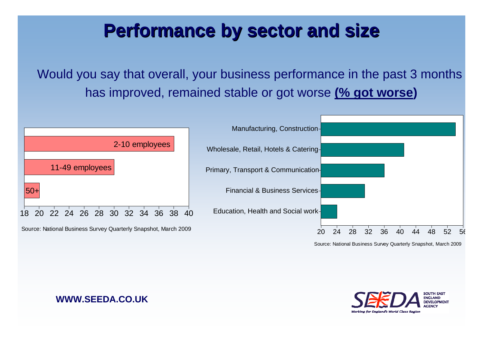### **Performance by sector and size Performance by sector and size**

Would you say that overall, your business performance in the past 3 months has improved, remained stable or got worse **(% got worse)**



Source: National Business Survey Quarterly Snapshot, March 2009

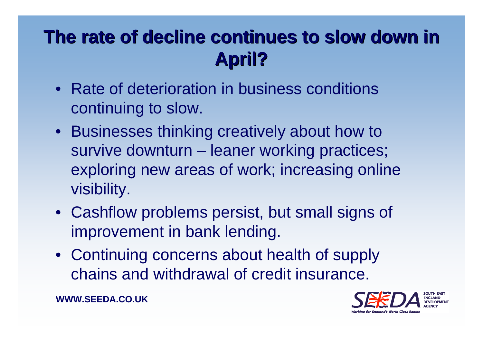# The rate of decline continues to slow down in **April?**

- Rate of deterioration in business conditions continuing to slow.
- Businesses thinking creatively about how to survive downturn – leaner working practices; exploring new areas of work; increasing online visibility.
- Cashflow problems persist, but small signs of improvement in bank lending.
- Continuing concerns about health of supply chains and withdrawal of credit insurance.

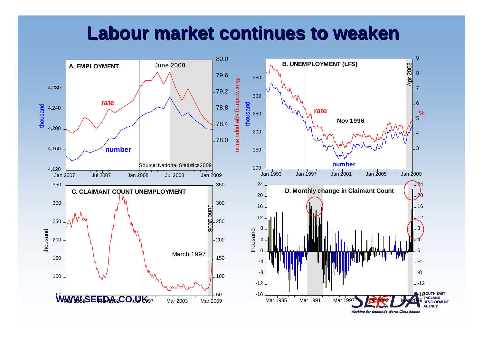#### **Labour market continues to weaken Labour market continues to weaken**

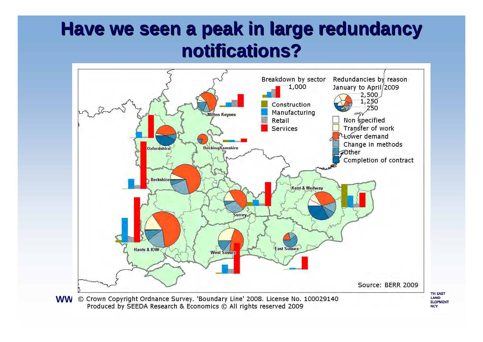## **Have we seen a peak in large redundancy notifications? notifications?**



Produced by SEEDA Research & Economics © All rights reserved 2009

**TH EAST LAND ELOPMENT NCY**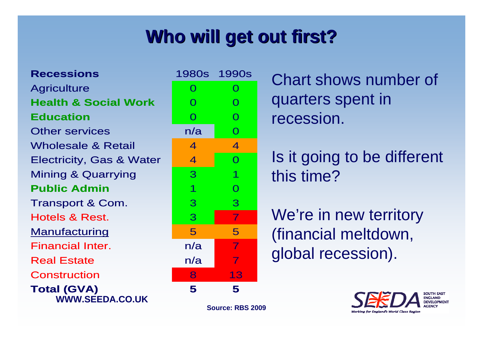# **Who will get out first? Who will get out first?**

**WWW.SEEDA.CO.UKTotal (GVA)** ConstructionReal Estate n/a 7 Financial Inter. n/aManufacturing Hotels & Rest. 3Transport & Com. **Public Admin**Mining & Quarrying Electricity, Gas & Water Wholesale & Retail Other servicess n/a **Education**n 0 0 **Health & Social WorkAgriculture Recessions**

| S                       | 1980s 1990s             |                |
|-------------------------|-------------------------|----------------|
|                         | $\overline{O}$          | $\mathbf 0$    |
| <b>ocial Work</b>       | $\overline{O}$          | $\overline{O}$ |
|                         | $\overline{O}$          | $\overline{O}$ |
| ces                     | n/a                     | $\overline{O}$ |
| & Retail                | 4                       | $\overline{4}$ |
| Gas & Water             | $\overline{4}$          | $\overline{O}$ |
| uarrying                | 3                       | 1              |
| nin                     | $\overline{\mathbf{1}}$ | $\overline{O}$ |
| Com.                    | 3                       | 3              |
| est.                    | 3                       | $\overline{7}$ |
| <u>ing</u>              | 5                       | 5              |
| iter.                   | n/a                     | $\overline{7}$ |
| ļ                       | n/a                     | 7              |
| 'n                      | 8                       | 13             |
| $\overline{\mathbf{C}}$ | 5                       | 5              |

**Source: RBS 2009**

Chart shows number of quarters spent in recession.

Is it going to be different this time?

We're in new territory (financial meltdown, global recession).

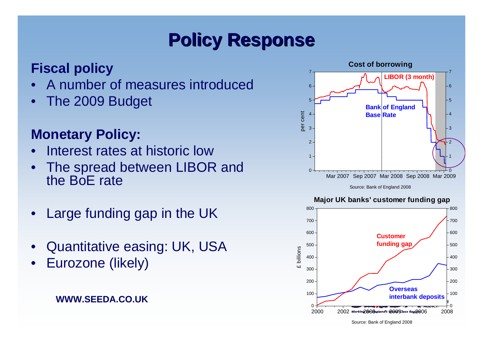# **Policy Response Policy Response**

#### **Fiscal policy**

- $\bullet$ A number of measures introduced
- $\bullet$ The 2009 Budget

#### **Monetary Policy:**

- $\bullet$ Interest rates at historic low
- • The spread between LIBOR and the BoE rate
- •Large funding gap in the UK
- •Quantitative easing: UK, USA
- •Eurozone (likely)

#### **WWW.SEEDA.CO.UK**



Source: Bank of England 2008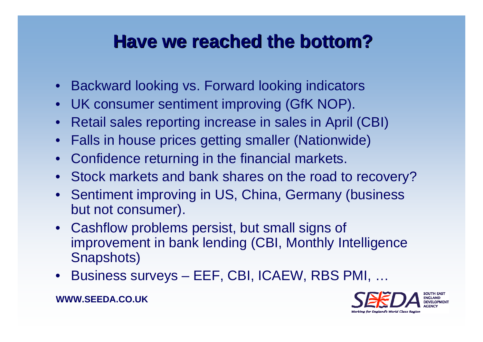### **Have we reached the bottom? Have we reached the bottom?**

- Backward looking vs. Forward looking indicators
- UK consumer sentiment improving (GfK NOP).
- Retail sales reporting increase in sales in April (CBI)
- Falls in house prices getting smaller (Nationwide)
- Confidence returning in the financial markets.
- Stock markets and bank shares on the road to recovery?
- Sentiment improving in US, China, Germany (business but not consumer).
- Cashflow problems persist, but small signs of improvement in bank lending (CBI, Monthly Intelligence Snapshots)
- Business surveys EEF, CBI, ICAEW, RBS PMI, …

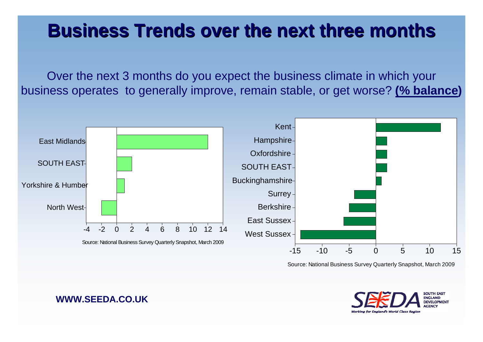### **Business Trends over the next three months Business Trends over the next three months**

Over the next 3 months do you expect the business climate in which your business operates to generally improve, remain stable, or get worse? **(% balance)**



Source: National Business Survey Quarterly Snapshot, March 2009